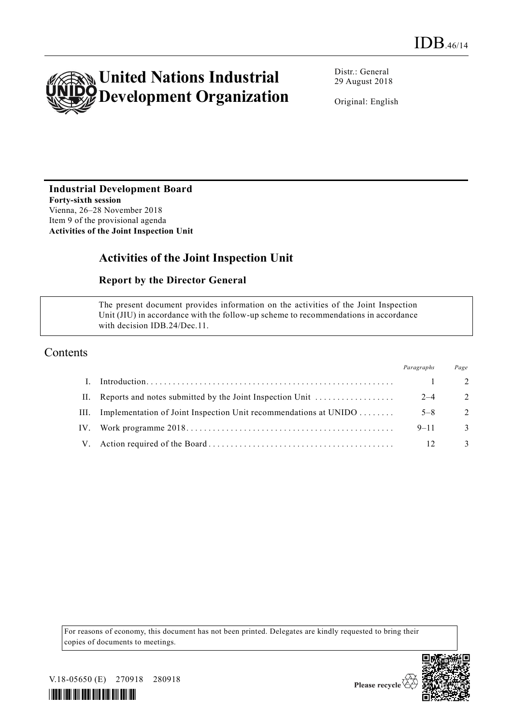

Distr.: General 29 August 2018

Original: English

# **Industrial Development Board**

**Forty-sixth session** Vienna, 26–28 November 2018 Item 9 of the provisional agenda **Activities of the Joint Inspection Unit** 

# **Activities of the Joint Inspection Unit**

#### **Report by the Director General**

The present document provides information on the activities of the Joint Inspection Unit (JIU) in accordance with the follow-up scheme to recommendations in accordance with decision IDB.24/Dec.11.

### Contents

|     |                                                                  | Paragraphs | Page          |
|-----|------------------------------------------------------------------|------------|---------------|
|     |                                                                  |            | - 2.          |
| Н.  | Reports and notes submitted by the Joint Inspection Unit         | $2 - 4$    | 2             |
| HI. | Implementation of Joint Inspection Unit recommendations at UNIDO | $5 - 8$    | $\mathcal{L}$ |
|     |                                                                  | $9 - 11$   | 3             |
|     |                                                                  |            | 3             |

For reasons of economy, this document has not been printed. Delegates are kindly requested to bring their copies of documents to meetings.



V.18-05650 (E) 270918 280918

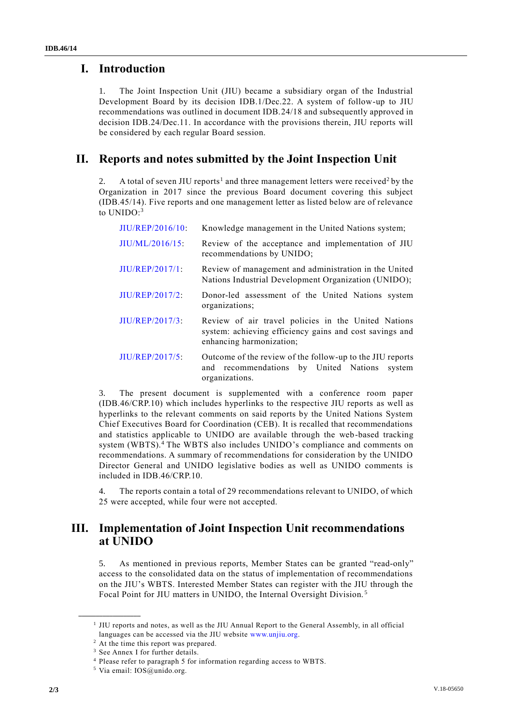### **I. Introduction**

1. The Joint Inspection Unit (JIU) became a subsidiary organ of the Industrial Development Board by its decision IDB.1/Dec.22. A system of follow-up to JIU recommendations was outlined in document IDB.24/18 and subsequently approved in decision IDB.24/Dec.11. In accordance with the provisions therein, JIU reports will be considered by each regular Board session.

## **II. Reports and notes submitted by the Joint Inspection Unit**

2. A total of seven JIU reports<sup>1</sup> and three management letters were received<sup>2</sup> by the Organization in 2017 since the previous Board document covering this subject (IDB.45/14). Five reports and one management letter as listed below are of relevance to UNIDO:<sup>3</sup>

| JIU/REP/2016/10:   | Knowledge management in the United Nations system;                                                                                         |  |  |  |  |
|--------------------|--------------------------------------------------------------------------------------------------------------------------------------------|--|--|--|--|
| $JIU/ML/2016/15$ : | Review of the acceptance and implementation of JIU<br>recommendations by UNIDO;                                                            |  |  |  |  |
| JIU/REP/2017/1     | Review of management and administration in the United<br>Nations Industrial Development Organization (UNIDO);                              |  |  |  |  |
| $JIU/REP/2017/2$ : | Donor-led assessment of the United Nations system<br>organizations;                                                                        |  |  |  |  |
| JIU/REP/2017/3:    | Review of air travel policies in the United Nations<br>system: achieving efficiency gains and cost savings and<br>enhancing harmonization; |  |  |  |  |
| JIU/REP/2017/5:    | Outcome of the review of the follow-up to the JIU reports<br>and recommendations by United Nations<br>system<br>organizations.             |  |  |  |  |

3. The present document is supplemented with a conference room paper (IDB.46/CRP.10) which includes hyperlinks to the respective JIU reports as well as hyperlinks to the relevant comments on said reports by the United Nations System Chief Executives Board for Coordination (CEB). It is recalled that recommendations and statistics applicable to UNIDO are available through the web-based tracking system (WBTS).<sup>4</sup> The WBTS also includes UNIDO's compliance and comments on recommendations. A summary of recommendations for consideration by the UNIDO Director General and UNIDO legislative bodies as well as UNIDO comments is included in IDB.46/CRP.10.

4. The reports contain a total of 29 recommendations relevant to UNIDO, of which 25 were accepted, while four were not accepted.

### **III. Implementation of Joint Inspection Unit recommendations at UNIDO**

5. As mentioned in previous reports, Member States can be granted "read-only" access to the consolidated data on the status of implementation of recommendations on the JIU's WBTS. Interested Member States can register with the JIU through the Focal Point for JIU matters in UNIDO, the Internal Oversight Division. <sup>5</sup>

**\_\_\_\_\_\_\_\_\_\_\_\_\_\_\_\_\_\_**

<sup>&</sup>lt;sup>1</sup> JIU reports and notes, as well as the JIU Annual Report to the General Assembly, in all official languages can be accessed via the JIU website [www.unjiu.org.](http://www.unjiu.org/)

<sup>2</sup> At the time this report was prepared.

<sup>&</sup>lt;sup>3</sup> See Annex I for further details.

<sup>4</sup> Please refer to paragraph 5 for information regarding access to WBTS.

<sup>5</sup> Via email: IOS@unido.org.